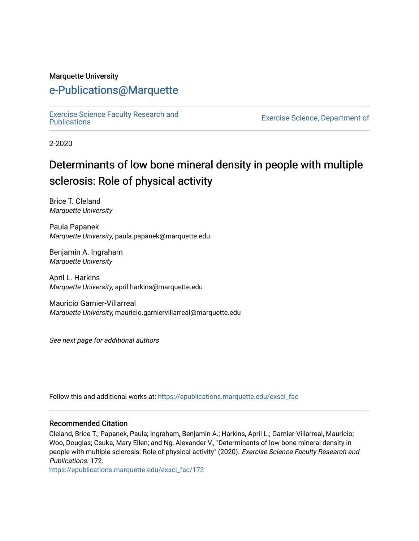#### Marquette University

# [e-Publications@Marquette](https://epublications.marquette.edu/)

[Exercise Science Faculty Research and](https://epublications.marquette.edu/exsci_fac)

Exercise Science, Department of

2-2020

# Determinants of low bone mineral density in people with multiple sclerosis: Role of physical activity

Brice T. Cleland Marquette University

Paula Papanek Marquette University, paula.papanek@marquette.edu

Benjamin A. Ingraham Marquette University

April L. Harkins Marquette University, april.harkins@marquette.edu

Mauricio Garnier-Villarreal Marquette University, mauricio.garniervillarreal@marquette.edu

See next page for additional authors

Follow this and additional works at: [https://epublications.marquette.edu/exsci\\_fac](https://epublications.marquette.edu/exsci_fac?utm_source=epublications.marquette.edu%2Fexsci_fac%2F172&utm_medium=PDF&utm_campaign=PDFCoverPages)

#### Recommended Citation

Cleland, Brice T.; Papanek, Paula; Ingraham, Benjamin A.; Harkins, April L.; Garnier-Villarreal, Mauricio; Woo, Douglas; Csuka, Mary Ellen; and Ng, Alexander V., "Determinants of low bone mineral density in people with multiple sclerosis: Role of physical activity" (2020). Exercise Science Faculty Research and Publications. 172.

[https://epublications.marquette.edu/exsci\\_fac/172](https://epublications.marquette.edu/exsci_fac/172?utm_source=epublications.marquette.edu%2Fexsci_fac%2F172&utm_medium=PDF&utm_campaign=PDFCoverPages)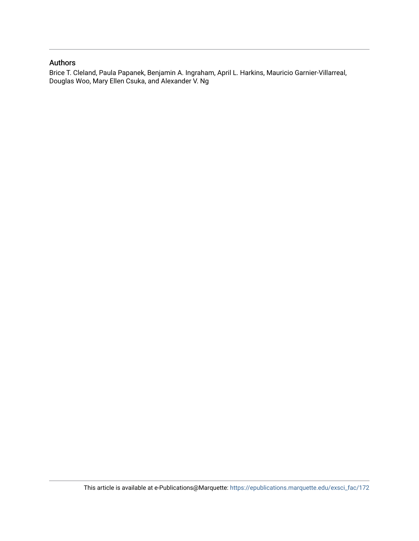#### Authors

Brice T. Cleland, Paula Papanek, Benjamin A. Ingraham, April L. Harkins, Mauricio Garnier-Villarreal, Douglas Woo, Mary Ellen Csuka, and Alexander V. Ng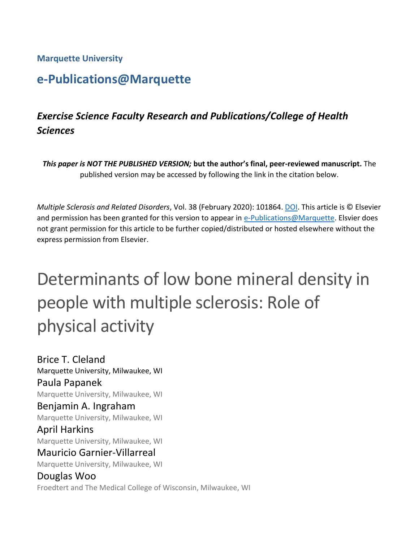**Marquette University**

# **e-Publications@Marquette**

# *Exercise Science Faculty Research and Publications/College of Health Sciences*

*This paper is NOT THE PUBLISHED VERSION;* **but the author's final, peer-reviewed manuscript.** The published version may be accessed by following the link in the citation below.

*Multiple Sclerosis and Related Disorders*, Vol. 38 (February 2020): 101864. [DOI.](https://doi.org/10.1016/j.msard.2019.101864) This article is © Elsevier and permission has been granted for this version to appear in [e-Publications@Marquette.](http://epublications.marquette.edu/) Elsvier does not grant permission for this article to be further copied/distributed or hosted elsewhere without the express permission from Elsevier.

# Determinants of low bone mineral density in people with multiple sclerosis: Role of physical activity

Brice T. Cleland Marquette University, Milwaukee, WI Paula Papanek Marquette University, Milwaukee, WI Benjamin A. Ingraham Marquette University, Milwaukee, WI April Harkins Marquette University, Milwaukee, WI Mauricio Garnier-Villarreal Marquette University, Milwaukee, WI Douglas Woo

Froedtert and The Medical College of Wisconsin, Milwaukee, WI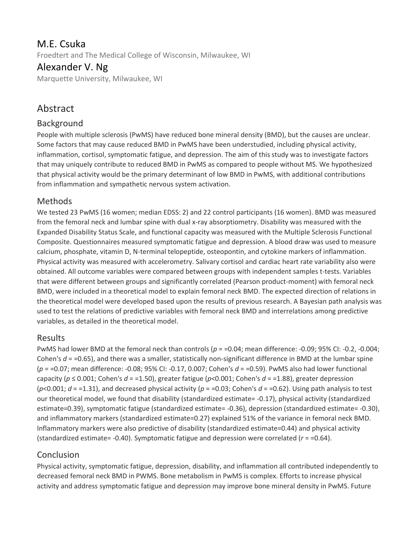# M.E. Csuka

Froedtert and The Medical College of Wisconsin, Milwaukee, WI

#### Alexander V. Ng

Marquette University, Milwaukee, WI

## Abstract

#### Background

People with multiple sclerosis (PwMS) have reduced bone mineral density (BMD), but the causes are unclear. Some factors that may cause reduced BMD in PwMS have been understudied, including physical activity, inflammation, cortisol, symptomatic fatigue, and depression. The aim of this study was to investigate factors that may uniquely contribute to reduced BMD in PwMS as compared to people without MS. We hypothesized that physical activity would be the primary determinant of low BMD in PwMS, with additional contributions from inflammation and sympathetic nervous system activation.

#### **Methods**

We tested 23 PwMS (16 women; median EDSS: 2) and 22 control participants (16 women). BMD was measured from the femoral neck and lumbar spine with dual x-ray absorptiometry. Disability was measured with the Expanded Disability Status Scale, and functional capacity was measured with the Multiple Sclerosis Functional Composite. Questionnaires measured symptomatic fatigue and depression. A blood draw was used to measure calcium, phosphate, vitamin D, N-terminal telopeptide, osteopontin, and cytokine markers of inflammation. Physical activity was measured with accelerometry. Salivary cortisol and cardiac heart rate variability also were obtained. All outcome variables were compared between groups with independent samples t-tests. Variables that were different between groups and significantly correlated (Pearson product-moment) with femoral neck BMD, were included in a theoretical model to explain femoral neck BMD. The expected direction of relations in the theoretical model were developed based upon the results of previous research. A Bayesian path analysis was used to test the relations of predictive variables with femoral neck BMD and interrelations among predictive variables, as detailed in the theoretical model.

#### Results

PwMS had lower BMD at the femoral neck than controls ( $p = 0.04$ ; mean difference: -0.09; 95% CI: -0.2, -0.004; Cohen's  $d = 0.65$ ), and there was a smaller, statistically non-significant difference in BMD at the lumbar spine (*p* = =0.07; mean difference: -0.08; 95% CI: -0.17, 0.007; Cohen's *d* = =0.59). PwMS also had lower functional capacity ( $p \le 0.001$ ; Cohen's  $d = 1.50$ ), greater fatigue ( $p < 0.001$ ; Cohen's  $d = 1.88$ ), greater depression ( $p$ <0.001;  $d$  = =1.31), and decreased physical activity ( $p$  = =0.03; Cohen's  $d$  = =0.62). Using path analysis to test our theoretical model, we found that disability (standardized estimate= -0.17), physical activity (standardized estimate=0.39), symptomatic fatigue (standardized estimate= -0.36), depression (standardized estimate= -0.30), and inflammatory markers (standardized estimate=0.27) explained 51% of the variance in femoral neck BMD. Inflammatory markers were also predictive of disability (standardized estimate=0.44) and physical activity (standardized estimate= -0.40). Symptomatic fatigue and depression were correlated (*r* = =0.64).

#### Conclusion

Physical activity, symptomatic fatigue, depression, disability, and inflammation all contributed independently to decreased femoral neck BMD in PWMS. Bone metabolism in PwMS is complex. Efforts to increase physical activity and address symptomatic fatigue and depression may improve bone mineral density in PwMS. Future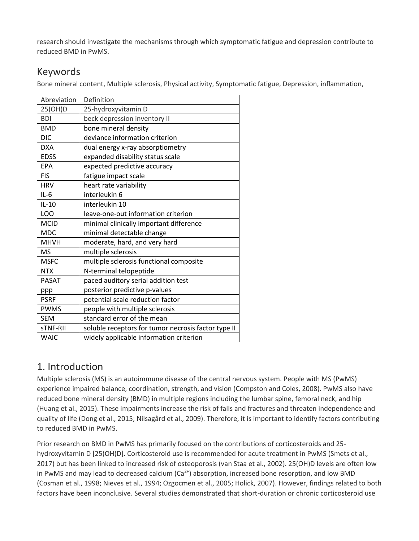research should investigate the mechanisms through which symptomatic fatigue and depression contribute to reduced BMD in PwMS.

# Keywords

Bone mineral content, Multiple sclerosis, Physical activity, Symptomatic fatigue, Depression, inflammation,

| Abreviation  | Definition                                          |
|--------------|-----------------------------------------------------|
| 25(OH)D      | 25-hydroxyvitamin D                                 |
| <b>BDI</b>   | beck depression inventory II                        |
| <b>BMD</b>   | bone mineral density                                |
| <b>DIC</b>   | deviance information criterion                      |
| <b>DXA</b>   | dual energy x-ray absorptiometry                    |
| <b>EDSS</b>  | expanded disability status scale                    |
| <b>EPA</b>   | expected predictive accuracy                        |
| <b>FIS</b>   | fatigue impact scale                                |
| <b>HRV</b>   | heart rate variability                              |
| $IL-6$       | interleukin 6                                       |
| $IL-10$      | interleukin 10                                      |
| LOO          | leave-one-out information criterion                 |
| <b>MCID</b>  | minimal clinically important difference             |
| <b>MDC</b>   | minimal detectable change                           |
| <b>MHVH</b>  | moderate, hard, and very hard                       |
| <b>MS</b>    | multiple sclerosis                                  |
| <b>MSFC</b>  | multiple sclerosis functional composite             |
| <b>NTX</b>   | N-terminal telopeptide                              |
| <b>PASAT</b> | paced auditory serial addition test                 |
| ppp          | posterior predictive p-values                       |
| <b>PSRF</b>  | potential scale reduction factor                    |
| <b>PWMS</b>  | people with multiple sclerosis                      |
| <b>SEM</b>   | standard error of the mean                          |
| sTNF-RII     | soluble receptors for tumor necrosis factor type II |
| <b>WAIC</b>  | widely applicable information criterion             |

# 1. Introduction

Multiple sclerosis (MS) is an autoimmune disease of the central nervous system. People with MS (PwMS) experience impaired balance, coordination, strength, and vision (Compston and Coles, 2008). PwMS also have reduced bone mineral density (BMD) in multiple regions including the lumbar spine, femoral neck, and hip (Huang et al., 2015). These impairments increase the risk of falls and fractures and threaten independence and quality of life (Dong et al., 2015; Nilsagård et al., 2009). Therefore, it is important to identify factors contributing to reduced BMD in PwMS.

Prior research on BMD in PwMS has primarily focused on the contributions of corticosteroids and 25 hydroxyvitamin D [25(OH)D]. Corticosteroid use is recommended for acute treatment in PwMS (Smets et al., 2017) but has been linked to increased risk of osteoporosis (van Staa et al., 2002). 25(OH)D levels are often low in PwMS and may lead to decreased calcium  $(Ca^{2+})$  absorption, increased bone resorption, and low BMD (Cosman et al., 1998; Nieves et al., 1994; Ozgocmen et al., 2005; Holick, 2007). However, findings related to both factors have been inconclusive. Several studies demonstrated that short-duration or chronic corticosteroid use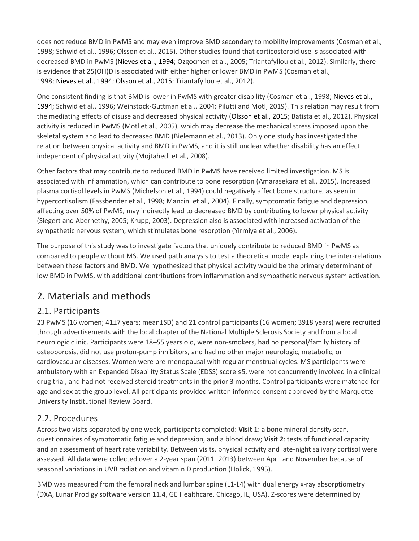does not reduce BMD in PwMS and may even improve BMD secondary to mobility improvements (Cosman et al., 1998; Schwid et al., 1996; Olsson et al., 2015). Other studies found that corticosteroid use is associated with decreased BMD in PwMS (Nieves et al., 1994; Ozgocmen et al., 2005; Triantafyllou et al., 2012). Similarly, there is evidence that 25(OH)D is associated with either higher or lower BMD in PwMS (Cosman et al., 1998; Nieves et al., 1994; Olsson et al., 2015; Triantafyllou et al., 2012).

One consistent finding is that BMD is lower in PwMS with greater disability (Cosman et al., 1998; Nieves et al., 1994; Schwid et al., 1996; Weinstock-Guttman et al., 2004; Pilutti and Motl, 2019). This relation may result from the mediating effects of disuse and decreased physical activity (Olsson et al., 2015; Batista et al., 2012). Physical activity is reduced in PwMS (Motl et al., 2005), which may decrease the mechanical stress imposed upon the skeletal system and lead to decreased BMD (Bielemann et al., 2013). Only one study has investigated the relation between physical activity and BMD in PwMS, and it is still unclear whether disability has an effect independent of physical activity (Mojtahedi et al., 2008).

Other factors that may contribute to reduced BMD in PwMS have received limited investigation. MS is associated with inflammation, which can contribute to bone resorption (Amarasekara et al., 2015). Increased plasma cortisol levels in PwMS (Michelson et al., 1994) could negatively affect bone structure, as seen in hypercortisolism (Fassbender et al., 1998; Mancini et al., 2004). Finally, symptomatic fatigue and depression, affecting over 50% of PwMS, may indirectly lead to decreased BMD by contributing to lower physical activity (Siegert and Abernethy, 2005; Krupp, 2003). Depression also is associated with increased activation of the sympathetic nervous system, which stimulates bone resorption (Yirmiya et al., 2006).

The purpose of this study was to investigate factors that uniquely contribute to reduced BMD in PwMS as compared to people without MS. We used path analysis to test a theoretical model explaining the inter-relations between these factors and BMD. We hypothesized that physical activity would be the primary determinant of low BMD in PwMS, with additional contributions from inflammation and sympathetic nervous system activation.

# 2. Materials and methods

#### 2.1. Participants

23 PwMS (16 women; 41±7 years; mean±SD) and 21 control participants (16 women; 39±8 years) were recruited through advertisements with the local chapter of the National Multiple Sclerosis Society and from a local neurologic clinic. Participants were 18–55 years old, were non-smokers, had no personal/family history of osteoporosis, did not use proton-pump inhibitors, and had no other major neurologic, metabolic, or cardiovascular diseases. Women were pre-menopausal with regular menstrual cycles. MS participants were ambulatory with an Expanded Disability Status Scale (EDSS) score ≤5, were not concurrently involved in a clinical drug trial, and had not received steroid treatments in the prior 3 months. Control participants were matched for age and sex at the group level. All participants provided written informed consent approved by the Marquette University Institutional Review Board.

#### 2.2. Procedures

Across two visits separated by one week, participants completed: **Visit 1**: a bone mineral density scan, questionnaires of symptomatic fatigue and depression, and a blood draw; **Visit 2**: tests of functional capacity and an assessment of heart rate variability. Between visits, physical activity and late-night salivary cortisol were assessed. All data were collected over a 2-year span (2011–2013) between April and November because of seasonal variations in UVB radiation and vitamin D production (Holick, 1995).

BMD was measured from the femoral neck and lumbar spine (L1-L4) with dual energy x-ray absorptiometry (DXA, Lunar Prodigy software version 11.4, GE Healthcare, Chicago, IL, USA). Z-scores were determined by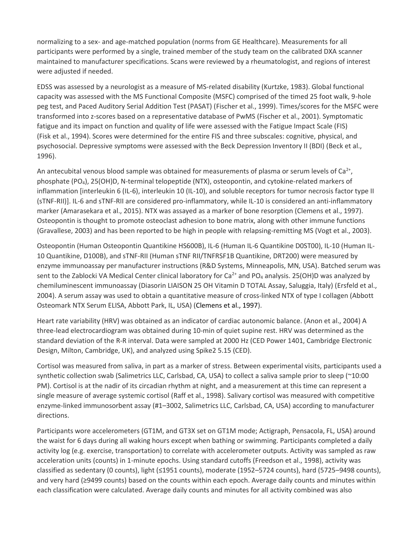normalizing to a sex- and age-matched population (norms from GE Healthcare). Measurements for all participants were performed by a single, trained member of the study team on the calibrated DXA scanner maintained to manufacturer specifications. Scans were reviewed by a rheumatologist, and regions of interest were adjusted if needed.

EDSS was assessed by a neurologist as a measure of MS-related disability (Kurtzke, 1983). Global functional capacity was assessed with the MS Functional Composite (MSFC) comprised of the timed 25 foot walk, 9-hole peg test, and Paced Auditory Serial Addition Test (PASAT) (Fischer et al., 1999). Times/scores for the MSFC were transformed into z-scores based on a representative database of PwMS (Fischer et al., 2001). Symptomatic fatigue and its impact on function and quality of life were assessed with the Fatigue Impact Scale (FIS) (Fisk et al., 1994). Scores were determined for the entire FIS and three subscales: cognitive, physical, and psychosocial. Depressive symptoms were assessed with the Beck Depression Inventory II (BDI) (Beck et al., 1996).

An antecubital venous blood sample was obtained for measurements of plasma or serum levels of Ca<sup>2+</sup>, phosphate (PO4), 25(OH)D, N-terminal telopeptide (NTX), osteopontin, and cytokine-related markers of inflammation [interleukin 6 (IL-6), interleukin 10 (IL-10), and soluble receptors for tumor necrosis factor type II (sTNF-RII)]. IL-6 and sTNF-RII are considered pro-inflammatory, while IL-10 is considered an anti-inflammatory marker (Amarasekara et al., 2015). NTX was assayed as a marker of bone resorption (Clemens et al., 1997). Osteopontin is thought to promote osteoclast adhesion to bone matrix, along with other immune functions (Gravallese, 2003) and has been reported to be high in people with relapsing-remitting MS (Vogt et al., 2003).

Osteopontin (Human Osteopontin Quantikine HS600B), IL-6 (Human IL-6 Quantikine D0ST00), IL-10 (Human IL-10 Quantikine, D100B), and sTNF-RII (Human sTNF RII/TNFRSF1B Quantikine, DRT200) were measured by enzyme immunoassay per manufacturer instructions (R&D Systems, Minneapolis, MN, USA). Batched serum was sent to the Zablocki VA Medical Center clinical laboratory for Ca<sup>2+</sup> and PO<sub>4</sub> analysis. 25(OH)D was analyzed by chemiluminescent immunoassay (Diasorin LIAISON 25 OH Vitamin D TOTAL Assay, Saluggia, Italy) (Ersfeld et al., 2004). A serum assay was used to obtain a quantitative measure of cross-linked NTX of type I collagen (Abbott Osteomark NTX Serum ELISA, Abbott Park, IL, USA) (Clemens et al., 1997).

Heart rate variability (HRV) was obtained as an indicator of cardiac autonomic balance. (Anon et al., 2004) A three-lead electrocardiogram was obtained during 10-min of quiet supine rest. HRV was determined as the standard deviation of the R-R interval. Data were sampled at 2000 Hz (CED Power 1401, Cambridge Electronic Design, Milton, Cambridge, UK), and analyzed using Spike2 5.15 (CED).

Cortisol was measured from saliva, in part as a marker of stress. Between experimental visits, participants used a synthetic collection swab (Salimetrics LLC, Carlsbad, CA, USA) to collect a saliva sample prior to sleep (~10:00 PM). Cortisol is at the nadir of its circadian rhythm at night, and a measurement at this time can represent a single measure of average systemic cortisol (Raff et al., 1998). Salivary cortisol was measured with competitive enzyme-linked immunosorbent assay (#1–3002, Salimetrics LLC, Carlsbad, CA, USA) according to manufacturer directions.

Participants wore accelerometers (GT1M, and GT3X set on GT1M mode; Actigraph, Pensacola, FL, USA) around the waist for 6 days during all waking hours except when bathing or swimming. Participants completed a daily activity log (e.g. exercise, transportation) to correlate with accelerometer outputs. Activity was sampled as raw acceleration units (counts) in 1-minute epochs. Using standard cutoffs (Freedson et al., 1998), activity was classified as sedentary (0 counts), light (≤1951 counts), moderate (1952–5724 counts), hard (5725–9498 counts), and very hard (≥9499 counts) based on the counts within each epoch. Average daily counts and minutes within each classification were calculated. Average daily counts and minutes for all activity combined was also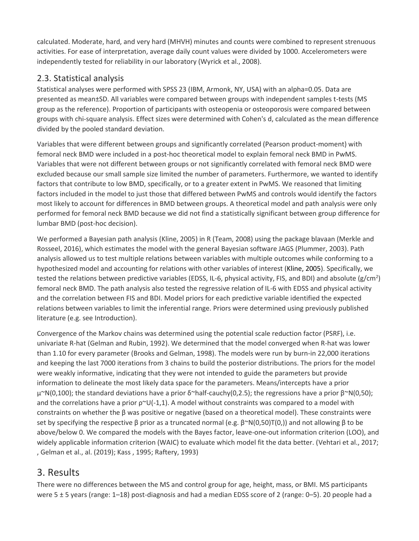calculated. Moderate, hard, and very hard (MHVH) minutes and counts were combined to represent strenuous activities. For ease of interpretation, average daily count values were divided by 1000. Accelerometers were independently tested for reliability in our laboratory (Wyrick et al., 2008).

#### 2.3. Statistical analysis

Statistical analyses were performed with SPSS 23 (IBM, Armonk, NY, USA) with an alpha=0.05. Data are presented as mean±SD. All variables were compared between groups with independent samples t-tests (MS group as the reference). Proportion of participants with osteopenia or osteoporosis were compared between groups with chi-square analysis. Effect sizes were determined with Cohen's d, calculated as the mean difference divided by the pooled standard deviation.

Variables that were different between groups and significantly correlated (Pearson product-moment) with femoral neck BMD were included in a post-hoc theoretical model to explain femoral neck BMD in PwMS. Variables that were not different between groups or not significantly correlated with femoral neck BMD were excluded because our small sample size limited the number of parameters. Furthermore, we wanted to identify factors that contribute to low BMD, specifically, or to a greater extent in PwMS. We reasoned that limiting factors included in the model to just those that differed between PwMS and controls would identify the factors most likely to account for differences in BMD between groups. A theoretical model and path analysis were only performed for femoral neck BMD because we did not find a statistically significant between group difference for lumbar BMD (post-hoc decision).

We performed a Bayesian path analysis (Kline, 2005) in R (Team, 2008) using the package blavaan (Merkle and Rosseel, 2016), which estimates the model with the general Bayesian software JAGS (Plummer, 2003). Path analysis allowed us to test multiple relations between variables with multiple outcomes while conforming to a hypothesized model and accounting for relations with other variables of interest (Kline, 2005). Specifically, we tested the relations between predictive variables (EDSS, IL-6, physical activity, FIS, and BDI) and absolute (g/cm<sup>2</sup>) femoral neck BMD. The path analysis also tested the regressive relation of IL-6 with EDSS and physical activity and the correlation between FIS and BDI. Model priors for each predictive variable identified the expected relations between variables to limit the inferential range. Priors were determined using previously published literature (e.g. see Introduction).

Convergence of the Markov chains was determined using the potential scale reduction factor (PSRF), i.e. univariate R-hat (Gelman and Rubin, 1992). We determined that the model converged when R-hat was lower than 1.10 for every parameter (Brooks and Gelman, 1998). The models were run by burn-in 22,000 iterations and keeping the last 7000 iterations from 3 chains to build the posterior distributions. The priors for the model were weakly informative, indicating that they were not intended to guide the parameters but provide information to delineate the most likely data space for the parameters. Means/intercepts have a prior  $\mu^{\infty}N(0,100)$ ; the standard deviations have a prior δ~half-cauchy(0,2.5); the regressions have a prior β~N(0,50); and the correlations have a prior  $p^{\sim}U(-1,1)$ . A model without constraints was compared to a model with constraints on whether the β was positive or negative (based on a theoretical model). These constraints were set by specifying the respective β prior as a truncated normal (e.g. β~N(0,50)T(0,)) and not allowing β to be above/below 0. We compared the models with the Bayes factor, leave-one-out information criterion (LOO), and widely applicable information criterion (WAIC) to evaluate which model fit the data better. (Vehtari et al., 2017; , Gelman et al., al. (2019); Kass , 1995; Raftery, 1993)

# 3. Results

There were no differences between the MS and control group for age, height, mass, or BMI. MS participants were 5 ± 5 years (range: 1–18) post-diagnosis and had a median EDSS score of 2 (range: 0–5). 20 people had a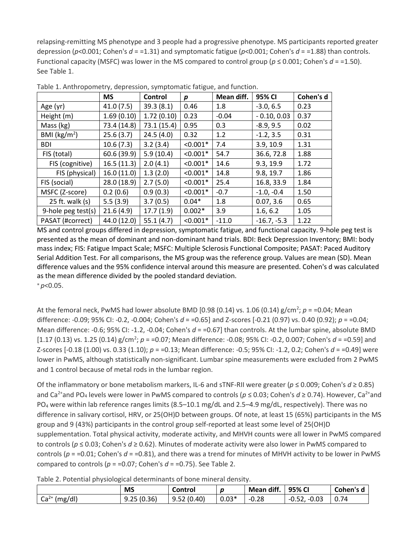relapsing-remitting MS phenotype and 3 people had a progressive phenotype. MS participants reported greater depression (*p*<0.001; Cohen's *d* = =1.31) and symptomatic fatigue (*p*<0.001; Cohen's *d* = =1.88) than controls. Functional capacity (MSFC) was lower in the MS compared to control group ( $p \le 0.001$ ; Cohen's  $d = 1.50$ ). See Table 1.

|                         | <b>MS</b>   | Control     | р          | Mean diff. | 95% CI        | Cohen's d |
|-------------------------|-------------|-------------|------------|------------|---------------|-----------|
| Age (yr)                | 41.0(7.5)   | 39.3(8.1)   | 0.46       | 1.8        | $-3.0, 6.5$   | 0.23      |
| Height (m)              | 1.69(0.10)  | 1.72(0.10)  | 0.23       | $-0.04$    | $-0.10, 0.03$ | 0.37      |
| Mass (kg)               | 73.4 (14.8) | 73.1 (15.4) | 0.95       | 0.3        | $-8.9, 9.5$   | 0.02      |
| BMI ( $\text{kg/m}^2$ ) | 25.6(3.7)   | 24.5(4.0)   | 0.32       | 1.2        | $-1.2, 3.5$   | 0.31      |
| <b>BDI</b>              | 10.6(7.3)   | 3.2(3.4)    | $< 0.001*$ | 7.4        | 3.9, 10.9     | 1.31      |
| FIS (total)             | 60.6 (39.9) | 5.9(10.4)   | $< 0.001*$ | 54.7       | 36.6, 72.8    | 1.88      |
| FIS (cognitive)         | 16.5(11.3)  | 2.0(4.1)    | $< 0.001*$ | 14.6       | 9.3, 19.9     | 1.72      |
| FIS (physical)          | 16.0(11.0)  | 1.3(2.0)    | $< 0.001*$ | 14.8       | 9.8, 19.7     | 1.86      |
| FIS (social)            | 28.0 (18.9) | 2.7(5.0)    | $< 0.001*$ | 25.4       | 16.8, 33.9    | 1.84      |
| MSFC (Z-score)          | 0.2(0.6)    | 0.9(0.3)    | $< 0.001*$ | $-0.7$     | $-1.0, -0.4$  | 1.50      |
| 25 ft. walk $(s)$       | 5.5(3.9)    | 3.7(0.5)    | $0.04*$    | 1.8        | 0.07, 3.6     | 0.65      |
| 9-hole peg test(s)      | 21.6(4.9)   | 17.7(1.9)   | $0.002*$   | 3.9        | 1.6, 6.2      | 1.05      |
| PASAT (#correct)        | 44.0 (12.0) | 55.1(4.7)   | $< 0.001*$ | $-11.0$    | $-16.7, -5.3$ | 1.22      |

Table 1. Anthropometry, depression, symptomatic fatigue, and function.

MS and control groups differed in depression, symptomatic fatigue, and functional capacity. 9-hole peg test is presented as the mean of dominant and non-dominant hand trials. BDI: Beck Depression Inventory; BMI: body mass index; FIS: Fatigue Impact Scale; MSFC: Multiple Sclerosis Functional Composite; PASAT: Paced Auditory Serial Addition Test. For all comparisons, the MS group was the reference group. Values are mean (SD). Mean difference values and the 95% confidence interval around this measure are presented. Cohen's d was calculated as the mean difference divided by the pooled standard deviation. ⁎ *p*<0.05.

At the femoral neck, PwMS had lower absolute BMD [0.98 (0.14) vs. 1.06 (0.14)  $g/cm^2$ ;  $p = 0.04$ ; Mean difference: -0.09; 95% CI: -0.2, -0.004; Cohen's *d* = =0.65] and Z-scores [-0.21 (0.97) vs. 0.40 (0.92); *p* = =0.04; Mean difference: -0.6; 95% CI: -1.2, -0.04; Cohen's  $d = 0.67$ ] than controls. At the lumbar spine, absolute BMD [1.17 (0.13) vs. 1.25 (0.14)  $g/cm^2$ ;  $p = 0.07$ ; Mean difference: -0.08; 95% CI: -0.2, 0.007; Cohen's  $d = 0.59$ ] and Z-scores [-0.18 (1.00) vs. 0.33 (1.10); *p* = =0.13; Mean difference: -0.5; 95% CI: -1.2, 0.2; Cohen's *d* = =0.49] were lower in PwMS, although statistically non-significant. Lumbar spine measurements were excluded from 2 PwMS and 1 control because of metal rods in the lumbar region.

Of the inflammatory or bone metabolism markers, IL-6 and sTNF-RII were greater (*p* ≤ 0.009; Cohen's *d* ≥ 0.85) and Ca<sup>2+</sup>and PO<sub>4</sub> levels were lower in PwMS compared to controls ( $p \le 0.03$ ; Cohen's d ≥ 0.74). However, Ca<sup>2+</sup>and PO<sub>4</sub> were within lab reference ranges limits (8.5–10.1 mg/dL and 2.5–4.9 mg/dL, respectively). There was no difference in salivary cortisol, HRV, or 25(OH)D between groups. Of note, at least 15 (65%) participants in the MS group and 9 (43%) participants in the control group self-reported at least some level of 25(OH)D supplementation. Total physical activity, moderate activity, and MHVH counts were all lower in PwMS compared to controls (*p* ≤ 0.03; Cohen's *d* ≥ 0.62). Minutes of moderate activity were also lower in PwMS compared to controls ( $p = 0.01$ ; Cohen's  $d = 0.81$ ), and there was a trend for minutes of MHVH activity to be lower in PwMS compared to controls ( $p = 0.07$ ; Cohen's  $d = 0.75$ ). See Table 2.

Table 2. Potential physiological determinants of bone mineral density.

|                   | <b>MS</b>  | Control    |         | Mean diff. | 95% CI            | Cohen's d |
|-------------------|------------|------------|---------|------------|-------------------|-----------|
| $Ca2+$<br>(mg/dl) | 9.25(0.36) | 9.52(0.40) | $0.03*$ | $-0.28$    | $-0.03$<br>-u.52, | 0.74      |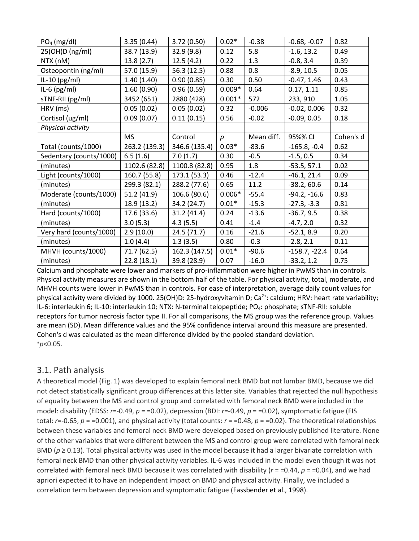| $PO4$ (mg/dl)           | 3.35(0.44)    | 3.72(0.50)    | $0.02*$  | $-0.38$    | $-0.68, -0.07$  | 0.82      |
|-------------------------|---------------|---------------|----------|------------|-----------------|-----------|
| 25(OH)D (ng/ml)         | 38.7 (13.9)   | 32.9(9.8)     | 0.12     | 5.8        | $-1.6, 13.2$    | 0.49      |
| NTX (nM)                | 13.8(2.7)     | 12.5(4.2)     | 0.22     | 1.3        | $-0.8, 3.4$     | 0.39      |
| Osteopontin (ng/ml)     | 57.0 (15.9)   | 56.3(12.5)    | 0.88     | 0.8        | $-8.9, 10.5$    | 0.05      |
| IL-10 $(pg/ml)$         | 1.40(1.40)    | 0.90(0.85)    | 0.30     | 0.50       | $-0.47, 1.46$   | 0.43      |
| IL-6 $(pg/ml)$          | 1.60(0.90)    | 0.96(0.59)    | $0.009*$ | 0.64       | 0.17, 1.11      | 0.85      |
| sTNF-RII (pg/ml)        | 3452 (651)    | 2880 (428)    | $0.001*$ | 572        | 233, 910        | 1.05      |
| HRV (ms)                | 0.05(0.02)    | 0.05(0.02)    | 0.32     | $-0.006$   | $-0.02, 0.006$  | 0.32      |
| Cortisol (ug/ml)        | 0.09(0.07)    | 0.11(0.15)    | 0.56     | $-0.02$    | $-0.09, 0.05$   | 0.18      |
| Physical activity       |               |               |          |            |                 |           |
|                         | <b>MS</b>     | Control       | р        | Mean diff. | 95%% CI         | Cohen's d |
| Total (counts/1000)     | 263.2 (139.3) | 346.6 (135.4) | $0.03*$  | $-83.6$    | $-165.8, -0.4$  | 0.62      |
| Sedentary (counts/1000) | 6.5(1.6)      | 7.0(1.7)      | 0.30     | $-0.5$     | $-1.5, 0.5$     | 0.34      |
| (minutes)               | 1102.6 (82.8) | 1100.8 (82.8) | 0.95     | 1.8        | $-53.5, 57.1$   | 0.02      |
| Light (counts/1000)     | 160.7 (55.8)  | 173.1 (53.3)  | 0.46     | $-12.4$    | $-46.1, 21.4$   | 0.09      |
| (minutes)               | 299.3 (82.1)  | 288.2 (77.6)  | 0.65     | 11.2       | $-38.2, 60.6$   | 0.14      |
| Moderate (counts/1000)  | 51.2(41.9)    | 106.6 (80.6)  | $0.006*$ | $-55.4$    | $-94.2, -16.6$  | 0.83      |
| (minutes)               | 18.9 (13.2)   | 34.2 (24.7)   | $0.01*$  | $-15.3$    | $-27.3, -3.3$   | 0.81      |
| Hard (counts/1000)      | 17.6 (33.6)   | 31.2(41.4)    | 0.24     | $-13.6$    | $-36.7, 9.5$    | 0.38      |
| (minutes)               | 3.0(5.3)      | 4.3(5.5)      | 0.41     | $-1.4$     | $-4.7, 2.0$     | 0.32      |
| Very hard (counts/1000) | 2.9(10.0)     | 24.5(71.7)    | 0.16     | $-21.6$    | $-52.1, 8.9$    | 0.20      |
| (minutes)               | 1.0(4.4)      | 1.3(3.5)      | 0.80     | $-0.3$     | $-2.8, 2.1$     | 0.11      |
| MHVH (counts/1000)      | 71.7(62.5)    | 162.3 (147.5) | $0.01*$  | $-90.6$    | $-158.7, -22.4$ | 0.64      |
| (minutes)               | 22.8(18.1)    | 39.8 (28.9)   | 0.07     | $-16.0$    | $-33.2, 1.2$    | 0.75      |

Calcium and phosphate were lower and markers of pro-inflammation were higher in PwMS than in controls. Physical activity measures are shown in the bottom half of the table. For physical activity, total, moderate, and MHVH counts were lower in PwMS than in controls. For ease of interpretation, average daily count values for physical activity were divided by 1000. 25(OH)D: 25-hydroxyvitamin D;  $Ca<sup>2+</sup>$ : calcium; HRV: heart rate variability; IL-6: interleukin 6; IL-10: interleukin 10; NTX: N-terminal telopeptide; PO4: phosphate; sTNF-RII: soluble receptors for tumor necrosis factor type II. For all comparisons, the MS group was the reference group. Values are mean (SD). Mean difference values and the 95% confidence interval around this measure are presented. Cohen's d was calculated as the mean difference divided by the pooled standard deviation. ⁎*p*<0.05.

#### 3.1. Path analysis

A theoretical model (Fig. 1) was developed to explain femoral neck BMD but not lumbar BMD, because we did not detect statistically significant group differences at this latter site. Variables that rejected the null hypothesis of equality between the MS and control group and correlated with femoral neck BMD were included in the model: disability (EDSS: *r*=-0.49, *p* = =0.02), depression (BDI: *r*=-0.49, *p* = =0.02), symptomatic fatigue (FIS total:  $r=-0.65$ ,  $p=-0.001$ ), and physical activity (total counts:  $r=-0.48$ ,  $p=-0.02$ ). The theoretical relationships between these variables and femoral neck BMD were developed based on previously published literature. None of the other variables that were different between the MS and control group were correlated with femoral neck BMD ( $p \ge 0.13$ ). Total physical activity was used in the model because it had a larger bivariate correlation with femoral neck BMD than other physical activity variables. IL-6 was included in the model even though it was not correlated with femoral neck BMD because it was correlated with disability (*r* = =0.44, *p* = =0.04), and we had apriori expected it to have an independent impact on BMD and physical activity. Finally, we included a correlation term between depression and symptomatic fatigue (Fassbender et al., 1998).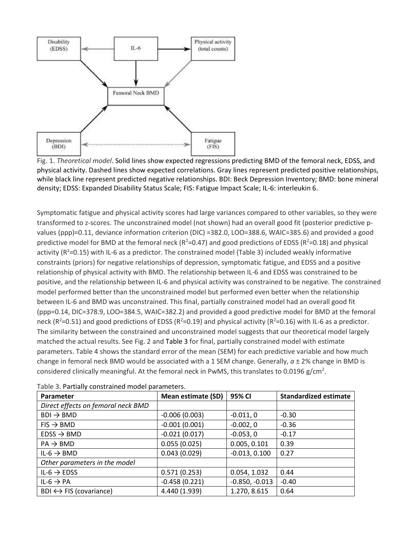

Fig. 1. *Theoretical model*. Solid lines show expected regressions predicting BMD of the femoral neck, EDSS, and physical activity. Dashed lines show expected correlations. Gray lines represent predicted positive relationships, while black line represent predicted negative relationships. BDI: Beck Depression Inventory; BMD: bone mineral density; EDSS: Expanded Disability Status Scale; FIS: Fatigue Impact Scale; IL-6: interleukin 6.

Symptomatic fatigue and physical activity scores had large variances compared to other variables, so they were transformed to z-scores. The unconstrained model (not shown) had an overall good fit (posterior predictive pvalues (ppp)=0.11, deviance information criterion (DIC) =382.0, LOO=388.6, WAIC=385.6) and provided a good predictive model for BMD at the femoral neck ( $R^2$ =0.47) and good predictions of EDSS ( $R^2$ =0.18) and physical activity ( $R^2$ =0.15) with IL-6 as a predictor. The constrained model (Table 3) included weakly informative constraints (priors) for negative relationships of depression, symptomatic fatigue, and EDSS and a positive relationship of physical activity with BMD. The relationship between IL-6 and EDSS was constrained to be positive, and the relationship between IL-6 and physical activity was constrained to be negative. The constrained model performed better than the unconstrained model but performed even better when the relationship between IL-6 and BMD was unconstrained. This final, partially constrained model had an overall good fit (ppp=0.14, DIC=378.9, LOO=384.5, WAIC=382.2) and provided a good predictive model for BMD at the femoral neck ( $R^2$ =0.51) and good predictions of EDSS ( $R^2$ =0.19) and physical activity ( $R^2$ =0.16) with IL-6 as a predictor. The similarity between the constrained and unconstrained model suggests that our theoretical model largely matched the actual results. See Fig. 2 and Table 3 for final, partially constrained model with estimate parameters. Table 4 shows the standard error of the mean (SEM) for each predictive variable and how much change in femoral neck BMD would be associated with a 1 SEM change. Generally, *a* ± 2% change in BMD is considered clinically meaningful. At the femoral neck in PwMS, this translates to 0.0196 g/cm<sup>2</sup>.

| Parameter                              | <b>Mean estimate (SD)</b> | 95% CI           | <b>Standardized estimate</b> |  |
|----------------------------------------|---------------------------|------------------|------------------------------|--|
| Direct effects on femoral neck BMD     |                           |                  |                              |  |
| $BDI \rightarrow BMD$                  | $-0.006(0.003)$           | $-0.011, 0$      | $-0.30$                      |  |
| $FIS \rightarrow BMD$                  | $-0.001(0.001)$           | $-0.002, 0$      | $-0.36$                      |  |
| $EDSS \rightarrow BMD$                 | $-0.021(0.017)$           | $-0.053, 0$      | $-0.17$                      |  |
| $PA \rightarrow BMD$                   | 0.055(0.025)              | 0.005, 0.101     | 0.39                         |  |
| IL-6 $\rightarrow$ BMD                 | 0.043(0.029)              | $-0.013, 0.100$  | 0.27                         |  |
| Other parameters in the model          |                           |                  |                              |  |
| IL-6 $\rightarrow$ EDSS                | 0.571(0.253)              | 0.054, 1.032     | 0.44                         |  |
| IL-6 $\rightarrow$ PA                  | $-0.458(0.221)$           | $-0.850, -0.013$ | $-0.40$                      |  |
| $BDI \leftrightarrow FIS$ (covariance) | 4.440 (1.939)             | 1.270, 8.615     | 0.64                         |  |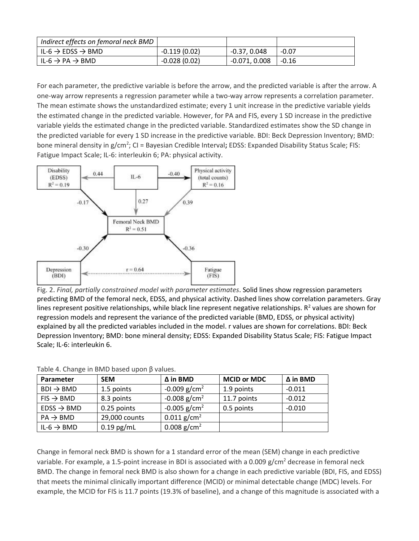| Indirect effects on femoral neck BMD                   |                |                 |         |
|--------------------------------------------------------|----------------|-----------------|---------|
| $\mathsf{I}$ il-6 $\rightarrow$ EDSS $\rightarrow$ BMD | $-0.119(0.02)$ | $-0.37.0.048$   | $-0.07$ |
| l IL-6 $\rightarrow$ PA $\rightarrow$ BMD              | $-0.028(0.02)$ | $-0.071, 0.008$ | l -0.16 |

For each parameter, the predictive variable is before the arrow, and the predicted variable is after the arrow. A one-way arrow represents a regression parameter while a two-way arrow represents a correlation parameter. The mean estimate shows the unstandardized estimate; every 1 unit increase in the predictive variable yields the estimated change in the predicted variable. However, for PA and FIS, every 1 SD increase in the predictive variable yields the estimated change in the predicted variable. Standardized estimates show the SD change in the predicted variable for every 1 SD increase in the predictive variable. BDI: Beck Depression Inventory; BMD: bone mineral density in g/cm<sup>2</sup>; CI = Bayesian Credible Interval; EDSS: Expanded Disability Status Scale; FIS: Fatigue Impact Scale; IL-6: interleukin 6; PA: physical activity.



Fig. 2. *Final, partially constrained model with parameter estimates*. Solid lines show regression parameters predicting BMD of the femoral neck, EDSS, and physical activity. Dashed lines show correlation parameters. Gray lines represent positive relationships, while black line represent negative relationships. R<sup>2</sup> values are shown for regression models and represent the variance of the predicted variable (BMD, EDSS, or physical activity) explained by all the predicted variables included in the model. r values are shown for correlations. BDI: Beck Depression Inventory; BMD: bone mineral density; EDSS: Expanded Disability Status Scale; FIS: Fatigue Impact Scale; IL-6: interleukin 6.

| Parameter              | <b>SEM</b>    | $\Delta$ in BMD            | <b>MCID or MDC</b> | $\Delta$ in BMD |
|------------------------|---------------|----------------------------|--------------------|-----------------|
| $BDI \rightarrow BMD$  | 1.5 points    | $-0.009$ g/cm <sup>2</sup> | 1.9 points         | $-0.011$        |
| $FIS \rightarrow BMD$  | 8.3 points    | $-0.008$ g/cm <sup>2</sup> | 11.7 points        | $-0.012$        |
| $EDSS \rightarrow BMD$ | 0.25 points   | $-0.005$ g/cm <sup>2</sup> | 0.5 points         | $-0.010$        |
| $PA \rightarrow BMD$   | 29,000 counts | $0.011$ g/cm <sup>2</sup>  |                    |                 |
| IL-6 $\rightarrow$ BMD | $0.19$ pg/mL  | 0.008 g/cm <sup>2</sup>    |                    |                 |

Table 4. Change in BMD based upon β values.

Change in femoral neck BMD is shown for a 1 standard error of the mean (SEM) change in each predictive variable. For example, a 1.5-point increase in BDI is associated with a 0.009  $g/cm^2$  decrease in femoral neck BMD. The change in femoral neck BMD is also shown for a change in each predictive variable (BDI, FIS, and EDSS) that meets the minimal clinically important difference (MCID) or minimal detectable change (MDC) levels. For example, the MCID for FIS is 11.7 points (19.3% of baseline), and a change of this magnitude is associated with a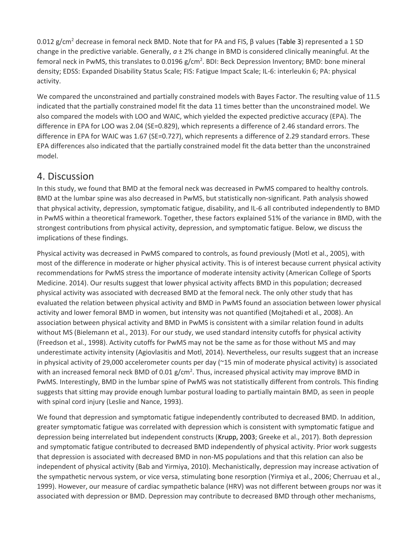0.012 g/cm<sup>2</sup> decrease in femoral neck BMD. Note that for PA and FIS, β values (Table 3) represented a 1 SD change in the predictive variable. Generally, *a* ± 2% change in BMD is considered clinically meaningful. At the femoral neck in PwMS, this translates to 0.0196 g/cm<sup>2</sup>. BDI: Beck Depression Inventory; BMD: bone mineral density; EDSS: Expanded Disability Status Scale; FIS: Fatigue Impact Scale; IL-6: interleukin 6; PA: physical activity.

We compared the unconstrained and partially constrained models with Bayes Factor. The resulting value of 11.5 indicated that the partially constrained model fit the data 11 times better than the unconstrained model. We also compared the models with LOO and WAIC, which yielded the expected predictive accuracy (EPA). The difference in EPA for LOO was 2.04 (SE=0.829), which represents a difference of 2.46 standard errors. The difference in EPA for WAIC was 1.67 (SE=0.727), which represents a difference of 2.29 standard errors. These EPA differences also indicated that the partially constrained model fit the data better than the unconstrained model.

#### 4. Discussion

In this study, we found that BMD at the femoral neck was decreased in PwMS compared to healthy controls. BMD at the lumbar spine was also decreased in PwMS, but statistically non-significant. Path analysis showed that physical activity, depression, symptomatic fatigue, disability, and IL-6 all contributed independently to BMD in PwMS within a theoretical framework. Together, these factors explained 51% of the variance in BMD, with the strongest contributions from physical activity, depression, and symptomatic fatigue. Below, we discuss the implications of these findings.

Physical activity was decreased in PwMS compared to controls, as found previously (Motl et al., 2005), with most of the difference in moderate or higher physical activity. This is of interest because current physical activity recommendations for PwMS stress the importance of moderate intensity activity (American College of Sports Medicine. 2014). Our results suggest that lower physical activity affects BMD in this population; decreased physical activity was associated with decreased BMD at the femoral neck. The only other study that has evaluated the relation between physical activity and BMD in PwMS found an association between lower physical activity and lower femoral BMD in women, but intensity was not quantified (Mojtahedi et al., 2008). An association between physical activity and BMD in PwMS is consistent with a similar relation found in adults without MS (Bielemann et al., 2013). For our study, we used standard intensity cutoffs for physical activity (Freedson et al., 1998). Activity cutoffs for PwMS may not be the same as for those without MS and may underestimate activity intensity (Agiovlasitis and Motl, 2014). Nevertheless, our results suggest that an increase in physical activity of 29,000 accelerometer counts per day (~15 min of moderate physical activity) is associated with an increased femoral neck BMD of 0.01  $g/cm<sup>2</sup>$ . Thus, increased physical activity may improve BMD in PwMS. Interestingly, BMD in the lumbar spine of PwMS was not statistically different from controls. This finding suggests that sitting may provide enough lumbar postural loading to partially maintain BMD, as seen in people with spinal cord injury (Leslie and Nance, 1993).

We found that depression and symptomatic fatigue independently contributed to decreased BMD. In addition, greater symptomatic fatigue was correlated with depression which is consistent with symptomatic fatigue and depression being interrelated but independent constructs (Krupp, 2003; Greeke et al., 2017). Both depression and symptomatic fatigue contributed to decreased BMD independently of physical activity. Prior work suggests that depression is associated with decreased BMD in non-MS populations and that this relation can also be independent of physical activity (Bab and Yirmiya, 2010). Mechanistically, depression may increase activation of the sympathetic nervous system, or vice versa, stimulating bone resorption (Yirmiya et al., 2006; Cherruau et al., 1999). However, our measure of cardiac sympathetic balance (HRV) was not different between groups nor was it associated with depression or BMD. Depression may contribute to decreased BMD through other mechanisms,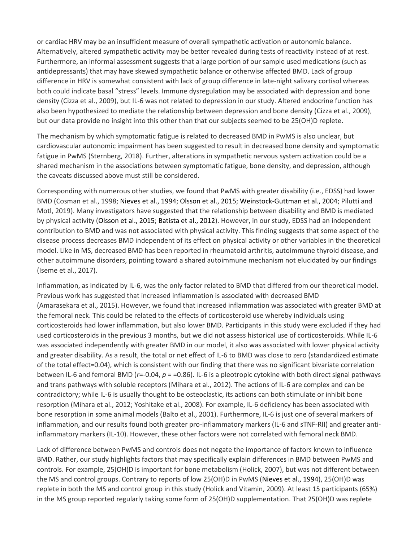or cardiac HRV may be an insufficient measure of overall sympathetic activation or autonomic balance. Alternatively, altered sympathetic activity may be better revealed during tests of reactivity instead of at rest. Furthermore, an informal assessment suggests that a large portion of our sample used medications (such as antidepressants) that may have skewed sympathetic balance or otherwise affected BMD. Lack of group difference in HRV is somewhat consistent with lack of group difference in late-night salivary cortisol whereas both could indicate basal "stress" levels. Immune dysregulation may be associated with depression and bone density (Cizza et al., 2009), but IL-6 was not related to depression in our study. Altered endocrine function has also been hypothesized to mediate the relationship between depression and bone density (Cizza et al., 2009), but our data provide no insight into this other than that our subjects seemed to be 25(OH)D replete.

The mechanism by which symptomatic fatigue is related to decreased BMD in PwMS is also unclear, but cardiovascular autonomic impairment has been suggested to result in decreased bone density and symptomatic fatigue in PwMS (Sternberg, 2018). Further, alterations in sympathetic nervous system activation could be a shared mechanism in the associations between symptomatic fatigue, bone density, and depression, although the caveats discussed above must still be considered.

Corresponding with numerous other studies, we found that PwMS with greater disability (i.e., EDSS) had lower BMD (Cosman et al., 1998; Nieves et al., 1994; Olsson et al., 2015; Weinstock-Guttman et al., 2004; Pilutti and Motl, 2019). Many investigators have suggested that the relationship between disability and BMD is mediated by physical activity (Olsson et al., 2015; Batista et al., 2012). However, in our study, EDSS had an independent contribution to BMD and was not associated with physical activity. This finding suggests that some aspect of the disease process decreases BMD independent of its effect on physical activity or other variables in the theoretical model. Like in MS, decreased BMD has been reported in rheumatoid arthritis, autoimmune thyroid disease, and other autoimmune disorders, pointing toward a shared autoimmune mechanism not elucidated by our findings (Iseme et al., 2017).

Inflammation, as indicated by IL-6, was the only factor related to BMD that differed from our theoretical model. Previous work has suggested that increased inflammation is associated with decreased BMD (Amarasekara et al., 2015). However, we found that increased inflammation was associated with greater BMD at the femoral neck. This could be related to the effects of corticosteroid use whereby individuals using corticosteroids had lower inflammation, but also lower BMD. Participants in this study were excluded if they had used corticosteroids in the previous 3 months, but we did not assess historical use of corticosteroids. While IL-6 was associated independently with greater BMD in our model, it also was associated with lower physical activity and greater disability. As a result, the total or net effect of IL-6 to BMD was close to zero (standardized estimate of the total effect=0.04), which is consistent with our finding that there was no significant bivariate correlation between IL-6 and femoral BMD (*r*=-0.04, *p* = =0.86). IL-6 is a pleotropic cytokine with both direct signal pathways and trans pathways with soluble receptors (Mihara et al., 2012). The actions of IL-6 are complex and can be contradictory; while IL-6 is usually thought to be osteoclastic, its actions can both stimulate or inhibit bone resorption (Mihara et al., 2012; Yoshitake et al., 2008). For example, IL-6 deficiency has been associated with bone resorption in some animal models (Balto et al., 2001). Furthermore, IL-6 is just one of several markers of inflammation, and our results found both greater pro-inflammatory markers (IL-6 and sTNF-RII) and greater antiinflammatory markers (IL-10). However, these other factors were not correlated with femoral neck BMD.

Lack of difference between PwMS and controls does not negate the importance of factors known to influence BMD. Rather, our study highlights factors that may specifically explain differences in BMD between PwMS and controls. For example, 25(OH)D is important for bone metabolism (Holick, 2007), but was not different between the MS and control groups. Contrary to reports of low 25(OH)D in PwMS (Nieves et al., 1994), 25(OH)D was replete in both the MS and control group in this study (Holick and Vitamin, 2009). At least 15 participants (65%) in the MS group reported regularly taking some form of 25(OH)D supplementation. That 25(OH)D was replete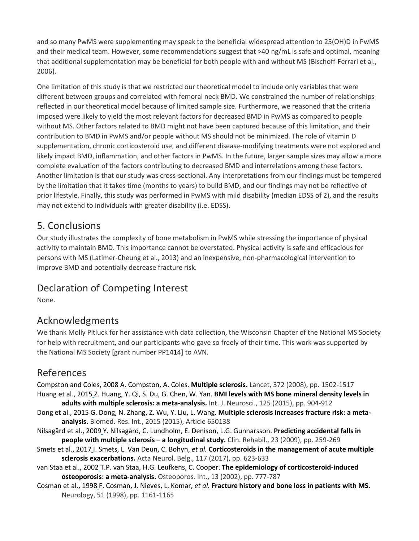and so many PwMS were supplementing may speak to the beneficial widespread attention to 25(OH)D in PwMS and their medical team. However, some recommendations suggest that >40 ng/mL is safe and optimal, meaning that additional supplementation may be beneficial for both people with and without MS (Bischoff-Ferrari et al., 2006).

One limitation of this study is that we restricted our theoretical model to include only variables that were different between groups and correlated with femoral neck BMD. We constrained the number of relationships reflected in our theoretical model because of limited sample size. Furthermore, we reasoned that the criteria imposed were likely to yield the most relevant factors for decreased BMD in PwMS as compared to people without MS. Other factors related to BMD might not have been captured because of this limitation, and their contribution to BMD in PwMS and/or people without MS should not be minimized. The role of vitamin D supplementation, chronic corticosteroid use, and different disease-modifying treatments were not explored and likely impact BMD, inflammation, and other factors in PwMS. In the future, larger sample sizes may allow a more complete evaluation of the factors contributing to decreased BMD and interrelations among these factors. Another limitation is that our study was cross-sectional. Any interpretations from our findings must be tempered by the limitation that it takes time (months to years) to build BMD, and our findings may not be reflective of prior lifestyle. Finally, this study was performed in PwMS with mild disability (median EDSS of 2), and the results may not extend to individuals with greater disability (i.e. EDSS).

### 5. Conclusions

Our study illustrates the complexity of bone metabolism in PwMS while stressing the importance of physical activity to maintain BMD. This importance cannot be overstated. Physical activity is safe and efficacious for persons with MS (Latimer-Cheung et al., 2013) and an inexpensive, non-pharmacological intervention to improve BMD and potentially decrease fracture risk.

# Declaration of Competing Interest

None.

# Acknowledgments

We thank Molly Pitluck for her assistance with data collection, the Wisconsin Chapter of the National MS Society for help with recruitment, and our participants who gave so freely of their time. This work was supported by the National MS Society [grant number PP1414] to AVN.

## References

Compston and Coles, 2008 A. Compston, A. Coles. **Multiple sclerosis.** Lancet, 372 (2008), pp. 1502-1517 Huang et al., 2015 Z. Huang, Y. Qi, S. Du, G. Chen, W. Yan. **BMI levels with MS bone mineral density levels in adults with multiple sclerosis: a meta-analysis.** Int. J. Neurosci., 125 (2015), pp. 904-912

- Dong et al., 2015 G. Dong, N. Zhang, Z. Wu, Y. Liu, L. Wang. **Multiple sclerosis increases fracture risk: a metaanalysis.** Biomed. Res. Int., 2015 (2015), Article 650138
- Nilsagård et al., 2009 Y. Nilsagård, C. Lundholm, E. Denison, L.G. Gunnarsson. **Predicting accidental falls in people with multiple sclerosis – a longitudinal study.** Clin. Rehabil., 23 (2009), pp. 259-269
- Smets et al., 2017 I. Smets, L. Van Deun, C. Bohyn, *et al.* **Corticosteroids in the management of acute multiple sclerosis exacerbations.** Acta Neurol. Belg., 117 (2017), pp. 623-633
- van Staa et al., 2002 T.P. van Staa, H.G. Leufkens, C. Cooper. **The epidemiology of corticosteroid-induced osteoporosis: a meta-analysis.** Osteoporos. Int., 13 (2002), pp. 777-787
- Cosman et al., 1998 F. Cosman, J. Nieves, L. Komar, *et al.* **Fracture history and bone loss in patients with MS.**  Neurology, 51 (1998), pp. 1161-1165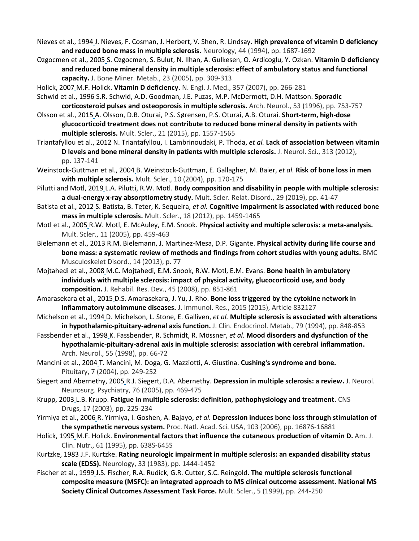Nieves et al., 1994 J. Nieves, F. Cosman, J. Herbert, V. Shen, R. Lindsay. **High prevalence of vitamin D deficiency and reduced bone mass in multiple sclerosis.** Neurology, 44 (1994), pp. 1687-1692

- Ozgocmen et al., 2005 S. Ozgocmen, S. Bulut, N. Ilhan, A. Gulkesen, O. Ardicoglu, Y. Ozkan. **Vitamin D deficiency and reduced bone mineral density in multiple sclerosis: effect of ambulatory status and functional capacity.** J. Bone Miner. Metab., 23 (2005), pp. 309-313
- Holick, 2007 M.F. Holick. **Vitamin D deficiency.** N. Engl. J. Med., 357 (2007), pp. 266-281

Schwid et al., 1996 S.R. Schwid, A.D. Goodman, J.E. Puzas, M.P. McDermott, D.H. Mattson. **Sporadic corticosteroid pulses and osteoporosis in multiple sclerosis.** Arch. Neurol., 53 (1996), pp. 753-757

Olsson et al., 2015 A. Olsson, D.B. Oturai, P.S. Sørensen, P.S. Oturai, A.B. Oturai. **Short-term, high-dose glucocorticoid treatment does not contribute to reduced bone mineral density in patients with multiple sclerosis.** Mult. Scler., 21 (2015), pp. 1557-1565

Triantafyllou et al., 2012 N. Triantafyllou, I. Lambrinoudaki, P. Thoda, *et al.* **Lack of association between vitamin D levels and bone mineral density in patients with multiple sclerosis.** J. Neurol. Sci., 313 (2012), pp. 137-141

- Weinstock-Guttman et al., 2004 B. Weinstock-Guttman, E. Gallagher, M. Baier, *et al.* **Risk of bone loss in men with multiple sclerosis.** Mult. Scler., 10 (2004), pp. 170-175
- Pilutti and Motl, 2019 L.A. Pilutti, R.W. Motl. **Body composition and disability in people with multiple sclerosis: a dual-energy x-ray absorptiometry study.** Mult. Scler. Relat. Disord., 29 (2019), pp. 41-47
- Batista et al., 2012 S. Batista, B. Teter, K. Sequeira, *et al.* **Cognitive impairment is associated with reduced bone mass in multiple sclerosis.** Mult. Scler., 18 (2012), pp. 1459-1465

Motl et al., 2005 R.W. Motl, E. McAuley, E.M. Snook. **Physical activity and multiple sclerosis: a meta-analysis.**  Mult. Scler., 11 (2005), pp. 459-463

Bielemann et al., 2013 R.M. Bielemann, J. Martinez-Mesa, D.P. Gigante. **Physical activity during life course and bone mass: a systematic review of methods and findings from cohort studies with young adults.** BMC Musculoskelet Disord., 14 (2013), p. 77

Mojtahedi et al., 2008 M.C. Mojtahedi, E.M. Snook, R.W. Motl, E.M. Evans. **Bone health in ambulatory individuals with multiple sclerosis: impact of physical activity, glucocorticoid use, and body composition.** J. Rehabil. Res. Dev., 45 (2008), pp. 851-861

Amarasekara et al., 2015 D.S. Amarasekara, J. Yu, J. Rho. **Bone loss triggered by the cytokine network in inflammatory autoimmune diseases.** J. Immunol. Res., 2015 (2015), Article 832127

- Michelson et al., 1994 D. Michelson, L. Stone, E. Galliven, *et al.* **Multiple sclerosis is associated with alterations in hypothalamic-pituitary-adrenal axis function.** J. Clin. Endocrinol. Metab., 79 (1994), pp. 848-853
- Fassbender et al., 1998 K. Fassbender, R. Schmidt, R. Mössner, *et al.* **Mood disorders and dysfunction of the hypothalamic-pituitary-adrenal axis in multiple sclerosis: association with cerebral inflammation.**  Arch. Neurol., 55 (1998), pp. 66-72

Mancini et al., 2004 T. Mancini, M. Doga, G. Mazziotti, A. Giustina. **Cushing's syndrome and bone.**  Pituitary, 7 (2004), pp. 249-252

Siegert and Abernethy, 2005 R.J. Siegert, D.A. Abernethy. **Depression in multiple sclerosis: a review.** J. Neurol. Neurosurg. Psychiatry, 76 (2005), pp. 469-475

- Krupp, 2003 L.B. Krupp. **Fatigue in multiple sclerosis: definition, pathophysiology and treatment.** CNS Drugs, 17 (2003), pp. 225-234
- Yirmiya et al., 2006 R. Yirmiya, I. Goshen, A. Bajayo, *et al.* **Depression induces bone loss through stimulation of the sympathetic nervous system.** Proc. Natl. Acad. Sci. USA, 103 (2006), pp. 16876-16881
- Holick, 1995 M.F. Holick. **Environmental factors that influence the cutaneous production of vitamin D.** Am. J. Clin. Nutr., 61 (1995), pp. 638S-645S
- Kurtzke, 1983 J.F. Kurtzke. **Rating neurologic impairment in multiple sclerosis: an expanded disability status scale (EDSS).** Neurology, 33 (1983), pp. 1444-1452
- Fischer et al., 1999 J.S. Fischer, R.A. Rudick, G.R. Cutter, S.C. Reingold. **The multiple sclerosis functional composite measure (MSFC): an integrated approach to MS clinical outcome assessment. National MS Society Clinical Outcomes Assessment Task Force.** Mult. Scler., 5 (1999), pp. 244-250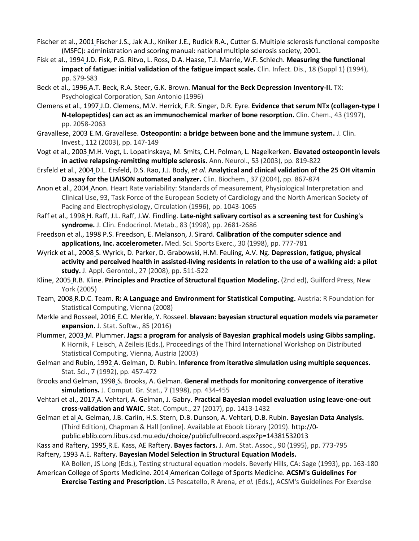- Fischer et al., 2001 Fischer J.S., Jak A.J., Kniker J.E., Rudick R.A., Cutter G. Multiple sclerosis functional composite (MSFC): administration and scoring manual: national multiple sclerosis society, 2001.
- Fisk et al., 1994 J.D. Fisk, P.G. Ritvo, L. Ross, D.A. Haase, T.J. Marrie, W.F. Schlech. **Measuring the functional impact of fatigue: initial validation of the fatigue impact scale.** Clin. Infect. Dis., 18 (Suppl 1) (1994), pp. S79-S83
- Beck et al., 1996 A.T. Beck, R.A. Steer, G.K. Brown. **Manual for the Beck Depression Inventory-II.** TX: Psychological Corporation, San Antonio (1996)
- Clemens et al., 1997 J.D. Clemens, M.V. Herrick, F.R. Singer, D.R. Eyre. **Evidence that serum NTx (collagen-type I N-telopeptides) can act as an immunochemical marker of bone resorption.** Clin. Chem., 43 (1997), pp. 2058-2063
- Gravallese, 2003 E.M. Gravallese. **Osteopontin: a bridge between bone and the immune system.** J. Clin. Invest., 112 (2003), pp. 147-149
- Vogt et al., 2003 M.H. Vogt, L. Lopatinskaya, M. Smits, C.H. Polman, L. Nagelkerken. **Elevated osteopontin levels in active relapsing-remitting multiple sclerosis.** Ann. Neurol., 53 (2003), pp. 819-822
- Ersfeld et al., 2004 D.L. Ersfeld, D.S. Rao, J.J. Body, *et al.* **Analytical and clinical validation of the 25 OH vitamin D assay for the LIAISON automated analyzer.** Clin. Biochem., 37 (2004), pp. 867-874
- Anon et al., 2004 Anon. Heart Rate variability: Standards of measurement, Physiological Interpretation and Clinical Use, 93, Task Force of the European Society of Cardiology and the North American Society of Pacing and Electrophysiology, Circulation (1996), pp. 1043-1065
- Raff et al., 1998 H. Raff, J.L. Raff, J.W. Findling. **Late-night salivary cortisol as a screening test for Cushing's syndrome.** J. Clin. Endocrinol. Metab., 83 (1998), pp. 2681-2686
- Freedson et al., 1998 P.S. Freedson, E. Melanson, J. Sirard. **Calibration of the computer science and applications, Inc. accelerometer.** Med. Sci. Sports Exerc., 30 (1998), pp. 777-781
- Wyrick et al., 2008 S. Wyrick, D. Parker, D. Grabowski, H.M. Feuling, A.V. Ng. **Depression, fatigue, physical activity and perceived health in assisted-living residents in relation to the use of a walking aid: a pilot study.** J. Appl. Gerontol., 27 (2008), pp. 511-522
- Kline, 2005 R.B. Kline. **Principles and Practice of Structural Equation Modeling.** (2nd ed), Guilford Press, New York (2005)
- Team, 2008 R.D.C. Team. **R: A Language and Environment for Statistical Computing.** Austria: R Foundation for Statistical Computing, Vienna (2008)
- Merkle and Rosseel, 2016 E.C. Merkle, Y. Rosseel. **blavaan: bayesian structural equation models via parameter expansion.** J. Stat. Softw., 85 (2016)
- Plummer, 2003 M. Plummer. **Jags: a program for analysis of Bayesian graphical models using Gibbs sampling.**  K Hornik, F Leisch, A Zeileis (Eds.), Proceedings of the Third International Workshop on Distributed Statistical Computing, Vienna, Austria (2003)
- Gelman and Rubin, 1992 A. Gelman, D. Rubin. **Inference from iterative simulation using multiple sequences.**  Stat. Sci., 7 (1992), pp. 457-472
- Brooks and Gelman, 1998 S. Brooks, A. Gelman. **General methods for monitoring convergence of iterative simulations.** J. Comput. Gr. Stat., 7 (1998), pp. 434-455
- Vehtari et al., 2017 A. Vehtari, A. Gelman, J. Gabry. **Practical Bayesian model evaluation using leave-one-out cross-validation and WAIC.** Stat. Comput., 27 (2017), pp. 1413-1432
- Gelman et al A. Gelman, J.B. Carlin, H.S. Stern, D.B. Dunson, A. Vehtari, D.B. Rubin. **Bayesian Data Analysis.**  (Third Edition), Chapman & Hall [online]. Available at Ebook Library (2019). http://0 public.eblib.com.libus.csd.mu.edu/choice/publicfullrecord.aspx?p=14381532013
- Kass and Raftery, 1995 R.E. Kass, AE Raftery. **Bayes factors.** J. Am. Stat. Assoc., 90 (1995), pp. 773-795
- Raftery, 1993 A.E. Raftery. **Bayesian Model Selection in Structural Equation Models.**

KA Bollen, JS Long (Eds.), Testing structural equation models. Beverly Hills, CA: Sage (1993), pp. 163-180 American College of Sports Medicine. 2014 American College of Sports Medicine. **ACSM's Guidelines For** 

**Exercise Testing and Prescription.** LS Pescatello, R Arena, *et al.* (Eds.), ACSM's Guidelines For Exercise